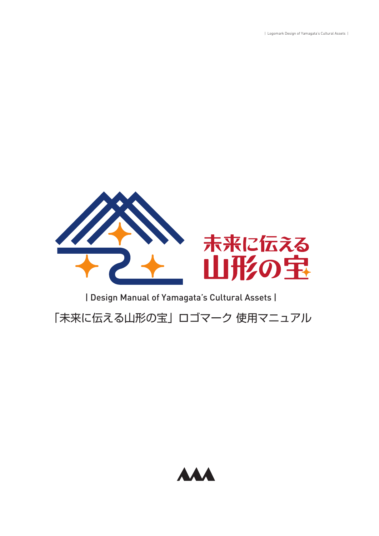| Logomark Design of Yamagata's Cultural Assets |



「未来に伝える山形の宝」ロゴマーク 使用マニュアル

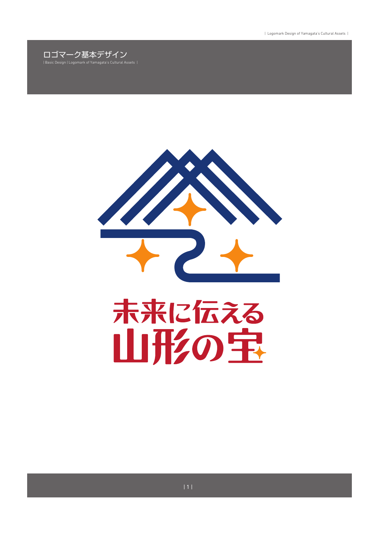



## 未来に伝える 山形の宝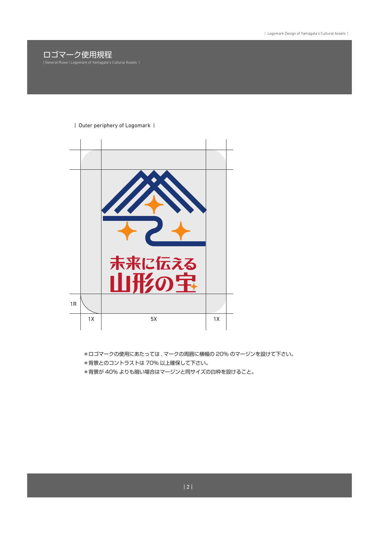

## | Outer periphery of Logomark |



\*ロゴマークの使用にあたっては , マークの周囲に横幅の 20% のマージンを設けて下さい。 \*背景とのコントラストは 70% 以上確保して下さい。

\*背景が 40% よりも暗い場合はマージンと同サイズの白枠を設けること。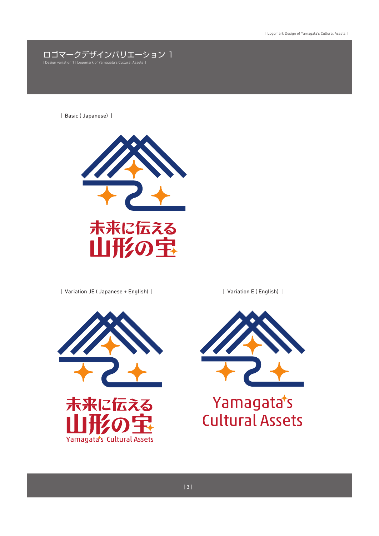

| Basic ( Japanese) |



| Variation JE ( Japanese + English) | | Variation E ( English) |





## Yamagata's **Cultural Assets**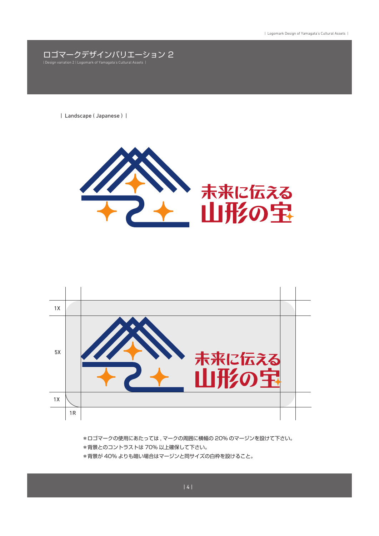ロゴマークデザインバリエーション 2 | Design variation 2 | Logomark of Yam

| Landscape ( Japanese ) |





\*ロゴマークの使用にあたっては , マークの周囲に横幅の 20% のマージンを設けて下さい。 \*背景とのコントラストは 70% 以上確保して下さい。 \*背景が 40% よりも暗い場合はマージンと同サイズの白枠を設けること。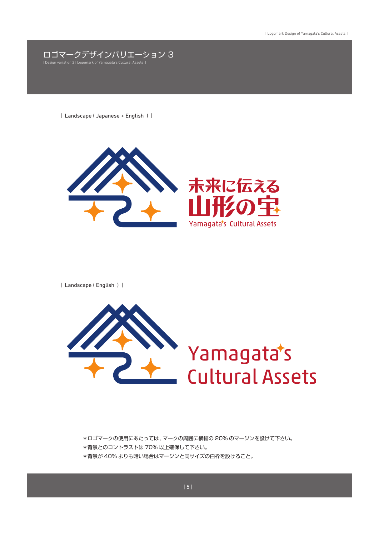

| Landscape ( Japanese + English ) |



| Landscape ( English ) |



\*ロゴマークの使用にあたっては , マークの周囲に横幅の 20% のマージンを設けて下さい。 \*背景とのコントラストは 70% 以上確保して下さい。 \*背景が 40% よりも暗い場合はマージンと同サイズの白枠を設けること。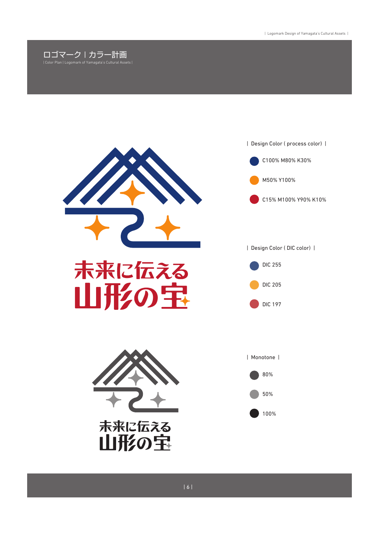





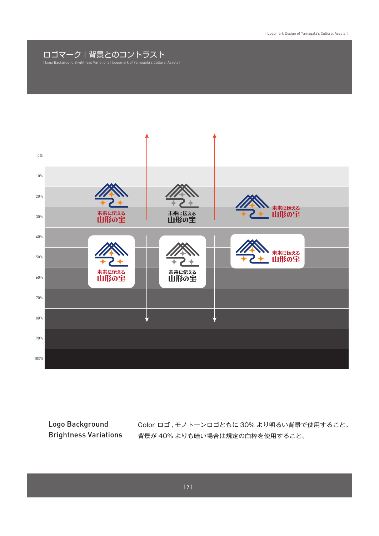## ロゴマーク | 背景とのコントラスト | Logo Background Brightness Variations | Logomark of Yamagata's Cultural Assets |



Logo Background Brightness Variations

Color ロゴ , モノトーンロゴともに 30% より明るい背景で使用すること。 背景が 40% よりも暗い場合は規定の白枠を使用すること。